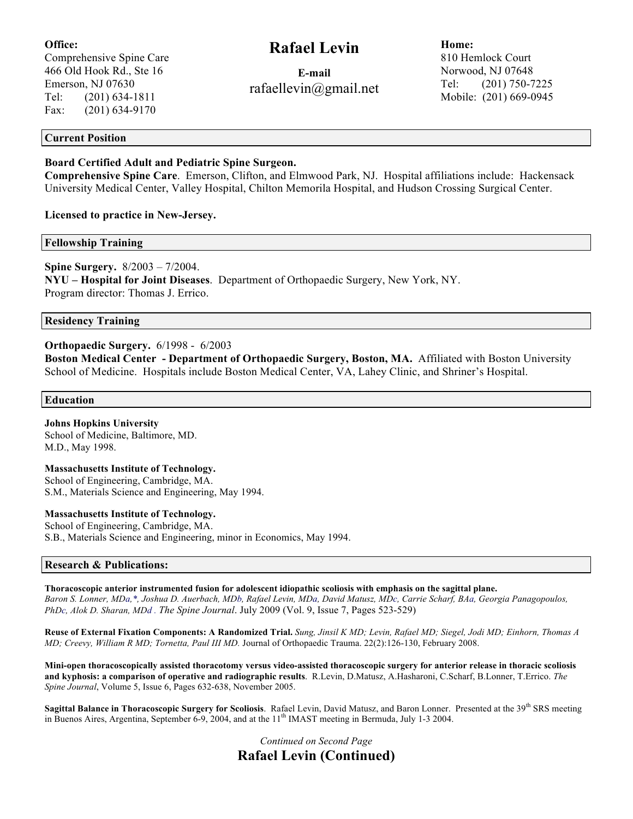## **Office:**

Comprehensive Spine Care 466 Old Hook Rd., Ste 16 Emerson, NJ 07630 Tel: (201) 634-1811 Fax: (201) 634-9170

# **Rafael Levin**

**E-mail** rafaellevin@gmail.net **Home:** 810 Hemlock Court Norwood, NJ 07648 Tel: (201) 750-7225 Mobile: (201) 669-0945

### **Current Position**

## **Board Certified Adult and Pediatric Spine Surgeon.**

**Comprehensive Spine Care**. Emerson, Clifton, and Elmwood Park, NJ. Hospital affiliations include: Hackensack University Medical Center, Valley Hospital, Chilton Memorila Hospital, and Hudson Crossing Surgical Center.

**Licensed to practice in New-Jersey.**

**Fellowship Training**

**Spine Surgery.** 8/2003 – 7/2004. **NYU – Hospital for Joint Diseases**. Department of Orthopaedic Surgery, New York, NY. Program director: Thomas J. Errico.

**Residency Training**

## **Orthopaedic Surgery.** 6/1998 - 6/2003

**Boston Medical Center - Department of Orthopaedic Surgery, Boston, MA.** Affiliated with Boston University School of Medicine. Hospitals include Boston Medical Center, VA, Lahey Clinic, and Shriner's Hospital.

#### **Education**

**Johns Hopkins University** School of Medicine, Baltimore, MD. M.D., May 1998.

**Massachusetts Institute of Technology.** School of Engineering, Cambridge, MA. S.M., Materials Science and Engineering, May 1994.

#### **Massachusetts Institute of Technology.**

School of Engineering, Cambridge, MA. S.B., Materials Science and Engineering, minor in Economics, May 1994.

#### **Research & Publications:**

**Thoracoscopic anterior instrumented fusion for adolescent idiopathic scoliosis with emphasis on the sagittal plane.** *Baron S. Lonner, MDa,\*, Joshua D. Auerbach, MDb, Rafael Levin, MDa, David Matusz, MDc, Carrie Scharf, BAa, Georgia Panagopoulos, PhDc, Alok D. Sharan, MDd . The Spine Journal*. July 2009 (Vol. 9, Issue 7, Pages 523-529)

**Reuse of External Fixation Components: A Randomized Trial.** *Sung, Jinsil K MD; Levin, Rafael MD; Siegel, Jodi MD; Einhorn, Thomas A MD; Creevy, William R MD; Tornetta, Paul III MD.* Journal of Orthopaedic Trauma. 22(2):126-130, February 2008.

**Mini-open thoracoscopically assisted thoracotomy versus video-assisted thoracoscopic surgery for anterior release in thoracic scoliosis and kyphosis: a comparison of operative and radiographic results**. R.Levin, D.Matusz, A.Hasharoni, C.Scharf, B.Lonner, T.Errico. *The Spine Journal*, Volume 5, Issue 6, Pages 632-638, November 2005.

Sagittal Balance in Thoracoscopic Surgery for Scoliosis. Rafael Levin, David Matusz, and Baron Lonner. Presented at the 39<sup>th</sup> SRS meeting in Buenos Aires, Argentina, September 6-9, 2004, and at the  $11<sup>th</sup>$  IMAST meeting in Bermuda, July 1-3 2004.

> *Continued on Second Page* **Rafael Levin (Continued)**